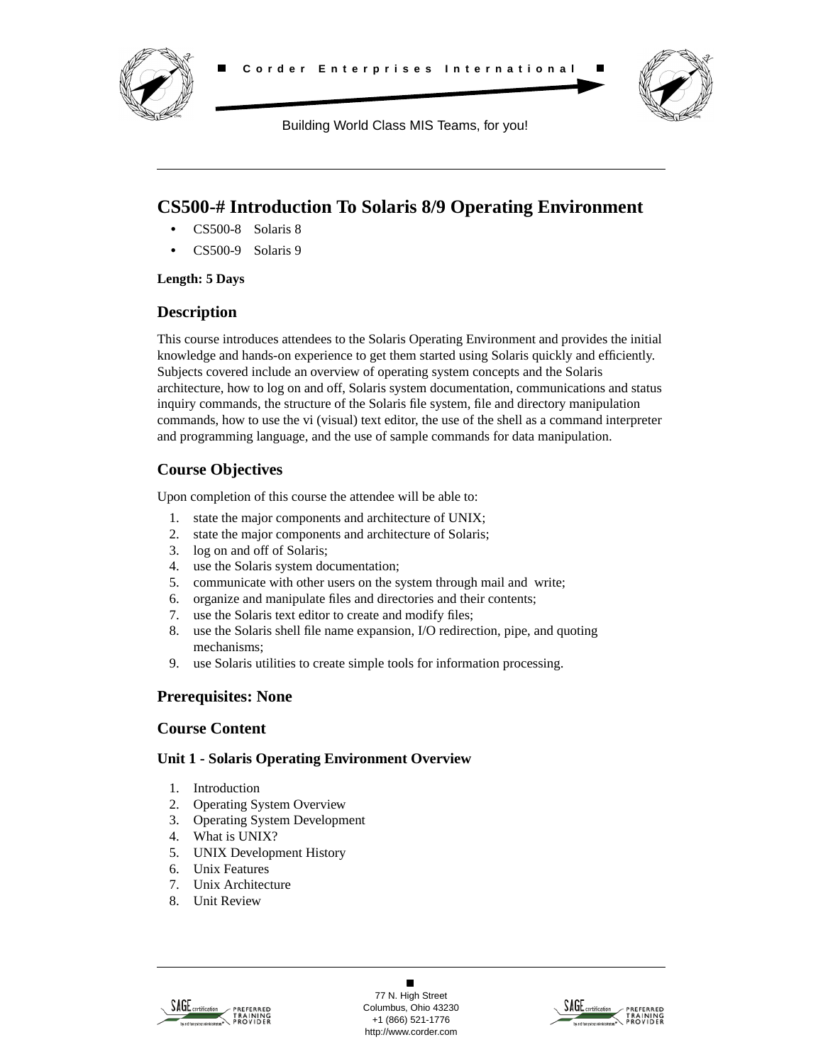



Building World Class MIS Teams, for you!

# **CS500-# Introduction To Solaris 8/9 Operating Environment**

- **•** CS500-8 Solaris 8
- **•** CS500-9 Solaris 9

#### **Length: 5 Days**

### **Description**

This course introduces attendees to the Solaris Operating Environment and provides the initial knowledge and hands-on experience to get them started using Solaris quickly and efficiently. Subjects covered include an overview of operating system concepts and the Solaris architecture, how to log on and off, Solaris system documentation, communications and status inquiry commands, the structure of the Solaris file system, file and directory manipulation commands, how to use the vi (visual) text editor, the use of the shell as a command interpreter and programming language, and the use of sample commands for data manipulation.

## **Course Objectives**

Upon completion of this course the attendee will be able to:

- 1. state the major components and architecture of UNIX;
- 2. state the major components and architecture of Solaris;
- 3. log on and off of Solaris;
- 4. use the Solaris system documentation;
- 5. communicate with other users on the system through mail and write;
- 6. organize and manipulate files and directories and their contents;
- 7. use the Solaris text editor to create and modify files;
- 8. use the Solaris shell file name expansion, I/O redirection, pipe, and quoting mechanisms;
- 9. use Solaris utilities to create simple tools for information processing.

### **Prerequisites: None**

### **Course Content**

#### **Unit 1 - Solaris Operating Environment Overview**

- 1. Introduction
- 2. Operating System Overview
- 3. Operating System Development
- 4. What is UNIX?
- 5. UNIX Development History
- 6. Unix Features
- 7. Unix Architecture
- 8. Unit Review



 $\blacksquare$ 77 N. High Street Columbus, Ohio 43230 +1 (866) 521-1776 http://www.corder.com

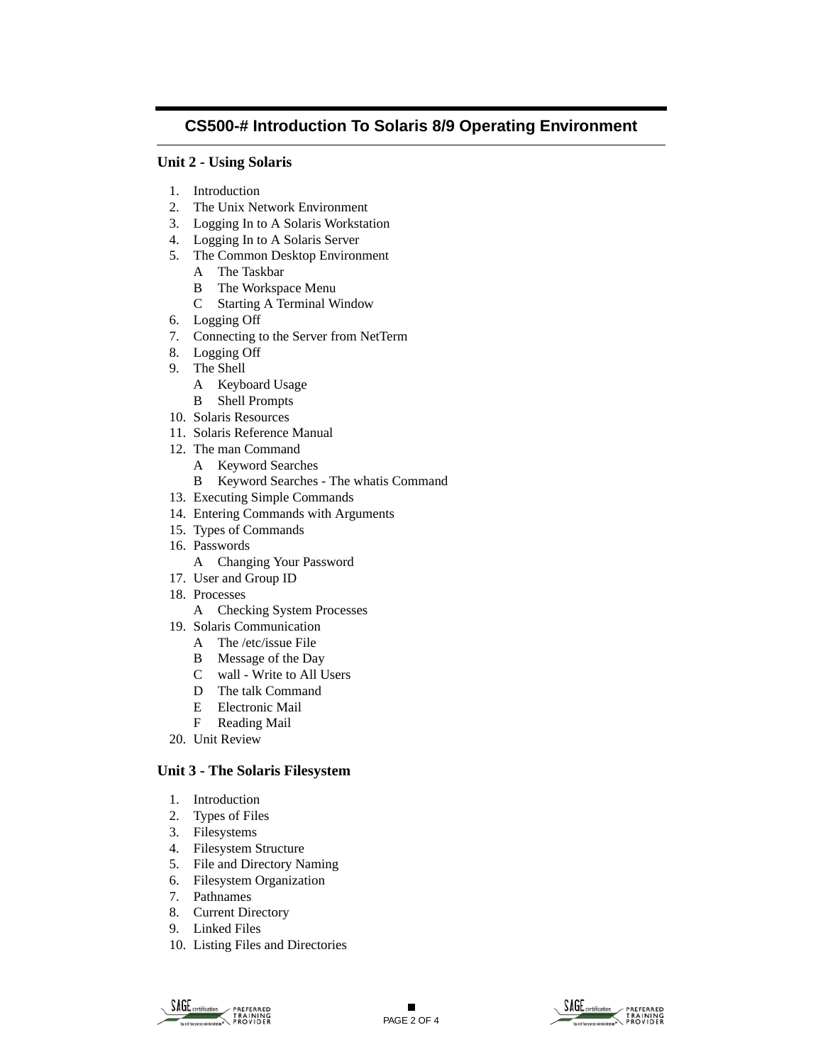## **CS500-# Introduction To Solaris 8/9 Operating Environment**

#### **Unit 2 - Using Solaris**

- 1. Introduction
- 2. The Unix Network Environment
- 3. Logging In to A Solaris Workstation
- 4. Logging In to A Solaris Server
- 5. The Common Desktop Environment
	- A The Taskbar
	- B The Workspace Menu
	- C Starting A Terminal Window
- 6. Logging Off
- 7. Connecting to the Server from NetTerm
- 8. Logging Off
- 9. The Shell
	- A Keyboard Usage
	- B Shell Prompts
- 10. Solaris Resources
- 11. Solaris Reference Manual
- 12. The man Command
	- A Keyword Searches
	- B Keyword Searches The whatis Command
- 13. Executing Simple Commands
- 14. Entering Commands with Arguments
- 15. Types of Commands
- 16. Passwords
	- A Changing Your Password
- 17. User and Group ID
- 18. Processes
	- A Checking System Processes
- 19. Solaris Communication
	- A The /etc/issue File
	- B Message of the Day
	- C wall Write to All Users
	- D The talk Command
	- E Electronic Mail
	- F Reading Mail
- 20. Unit Review

#### **Unit 3 - The Solaris Filesystem**

- 1. Introduction
- 2. Types of Files
- 3. Filesystems
- 4. Filesystem Structure
- 5. File and Directory Naming
- 6. Filesystem Organization
- 7. Pathnames
- 8. Current Directory
- 9. Linked Files
- 10. Listing Files and Directories



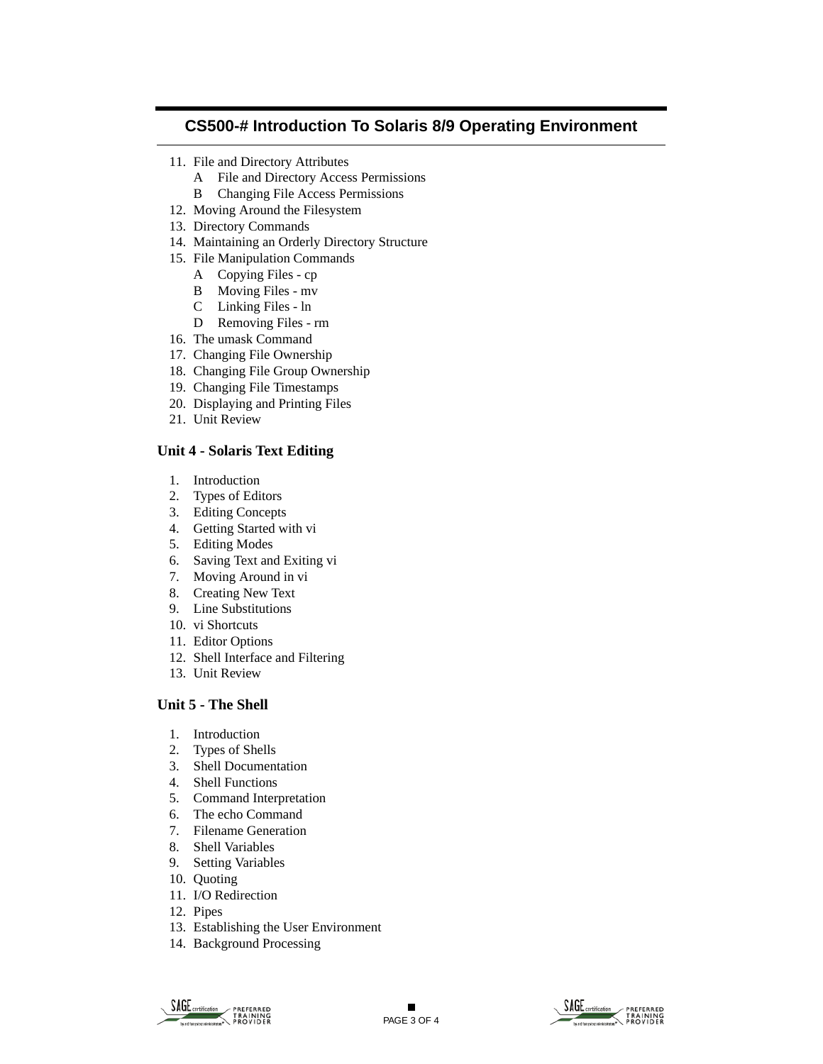### **CS500-# Introduction To Solaris 8/9 Operating Environment**

- 11. File and Directory Attributes
	- A File and Directory Access Permissions
	- B Changing File Access Permissions
- 12. Moving Around the Filesystem
- 13. Directory Commands
- 14. Maintaining an Orderly Directory Structure
- 15. File Manipulation Commands
	- A Copying Files cp
	- B Moving Files mv
	- C Linking Files ln
	- D Removing Files rm
- 16. The umask Command
- 17. Changing File Ownership
- 18. Changing File Group Ownership
- 19. Changing File Timestamps
- 20. Displaying and Printing Files
- 21. Unit Review

#### **Unit 4 - Solaris Text Editing**

- 1. Introduction
- 2. Types of Editors
- 3. Editing Concepts
- 4. Getting Started with vi
- 5. Editing Modes
- 6. Saving Text and Exiting vi
- 7. Moving Around in vi
- 8. Creating New Text
- 9. Line Substitutions
- 10. vi Shortcuts
- 11. Editor Options
- 12. Shell Interface and Filtering
- 13. Unit Review

#### **Unit 5 - The Shell**

- 1. Introduction
- 2. Types of Shells
- 3. Shell Documentation
- 4. Shell Functions
- 5. Command Interpretation
- 6. The echo Command
- 7. Filename Generation
- 8. Shell Variables
- 9. Setting Variables
- 10. Quoting
- 11. I/O Redirection
- 12. Pipes
- 13. Establishing the User Environment
- 14. Background Processing



 $\blacksquare$